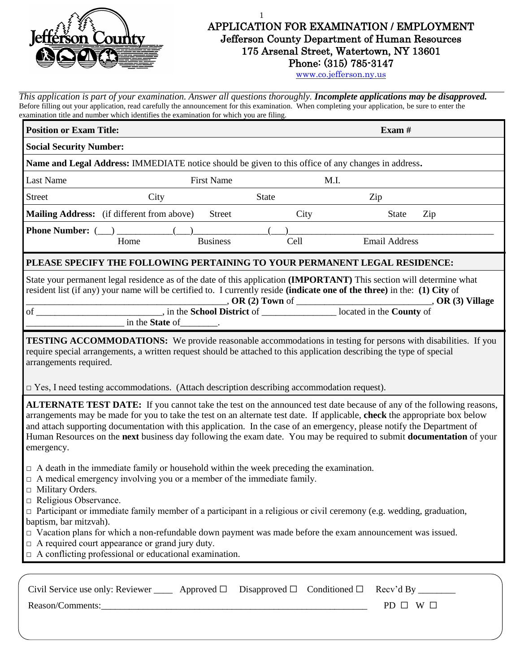

## 1 APPLICATION FOR EXAMINATION / EMPLOYMENT Jefferson County Department of Human Resources 175 Arsenal Street, Watertown, NY 13601 Phone: (315) 785-3147

[www.co.jefferson.ny.us](http://www.co.jefferson.ny.us/)

*This application is part of your examination. Answer all questions thoroughly. Incomplete applications may be disapproved.* Before filling out your application, read carefully the announcement for this examination. When completing your application, be sure to enter the examination title and number which identifies the examination for which you are filing.

| <b>Position or Exam Title:</b>                                                                                                                                                                                                                                                                                                                                                                                                                                                                                                                                                                                                            |                           |                   |                                             |      | Exam $#$             |     |
|-------------------------------------------------------------------------------------------------------------------------------------------------------------------------------------------------------------------------------------------------------------------------------------------------------------------------------------------------------------------------------------------------------------------------------------------------------------------------------------------------------------------------------------------------------------------------------------------------------------------------------------------|---------------------------|-------------------|---------------------------------------------|------|----------------------|-----|
| <b>Social Security Number:</b>                                                                                                                                                                                                                                                                                                                                                                                                                                                                                                                                                                                                            |                           |                   |                                             |      |                      |     |
| Name and Legal Address: IMMEDIATE notice should be given to this office of any changes in address.                                                                                                                                                                                                                                                                                                                                                                                                                                                                                                                                        |                           |                   |                                             |      |                      |     |
| Last Name                                                                                                                                                                                                                                                                                                                                                                                                                                                                                                                                                                                                                                 |                           | <b>First Name</b> |                                             |      | M.I.                 |     |
| <b>Street</b>                                                                                                                                                                                                                                                                                                                                                                                                                                                                                                                                                                                                                             | City                      |                   | <b>State</b>                                |      | Zip                  |     |
| Mailing Address: (if different from above)                                                                                                                                                                                                                                                                                                                                                                                                                                                                                                                                                                                                |                           | <b>Street</b>     |                                             | City | <b>State</b>         | Zip |
| <b>Phone Number:</b> ()<br>Home                                                                                                                                                                                                                                                                                                                                                                                                                                                                                                                                                                                                           |                           | <b>Business</b>   |                                             | Cell | <b>Email Address</b> |     |
| PLEASE SPECIFY THE FOLLOWING PERTAINING TO YOUR PERMANENT LEGAL RESIDENCE:                                                                                                                                                                                                                                                                                                                                                                                                                                                                                                                                                                |                           |                   |                                             |      |                      |     |
| State your permanent legal residence as of the date of this application (IMPORTANT) This section will determine what<br>resident list (if any) your name will be certified to. I currently reside (indicate one of the three) in the: (1) City of                                                                                                                                                                                                                                                                                                                                                                                         | in the State of ________. |                   |                                             |      |                      |     |
| <b>TESTING ACCOMMODATIONS:</b> We provide reasonable accommodations in testing for persons with disabilities. If you<br>require special arrangements, a written request should be attached to this application describing the type of special<br>arrangements required.<br>$\Box$ Yes, I need testing accommodations. (Attach description describing accommodation request).                                                                                                                                                                                                                                                              |                           |                   |                                             |      |                      |     |
| <b>ALTERNATE TEST DATE:</b> If you cannot take the test on the announced test date because of any of the following reasons,<br>arrangements may be made for you to take the test on an alternate test date. If applicable, check the appropriate box below<br>and attach supporting documentation with this application. In the case of an emergency, please notify the Department of<br>Human Resources on the next business day following the exam date. You may be required to submit <b>documentation</b> of your<br>emergency.                                                                                                       |                           |                   |                                             |      |                      |     |
| $\Box$ A death in the immediate family or household within the week preceding the examination.<br>$\Box$ A medical emergency involving you or a member of the immediate family.<br>$\Box$ Military Orders.<br>Religious Observance.<br>$\Box$ Participant or immediate family member of a participant in a religious or civil ceremony (e.g. wedding, graduation,<br>baptism, bar mitzvah).<br>$\Box$ Vacation plans for which a non-refundable down payment was made before the exam announcement was issued.<br>$\Box$ A required court appearance or grand jury duty.<br>$\Box$ A conflicting professional or educational examination. |                           |                   |                                             |      |                      |     |
| Civil Service use only: Reviewer _______ Approved $\square$                                                                                                                                                                                                                                                                                                                                                                                                                                                                                                                                                                               |                           |                   | Disapproved $\square$ Conditioned $\square$ |      | Recv'd By $\equiv$   |     |

Reason/Comments:\_\_\_\_\_\_\_\_\_\_\_\_\_\_\_\_\_\_\_\_\_\_\_\_\_\_\_\_\_\_\_\_\_\_\_\_\_\_\_\_\_\_\_\_\_\_\_\_\_\_\_\_\_\_\_\_\_ PD ☐ W ☐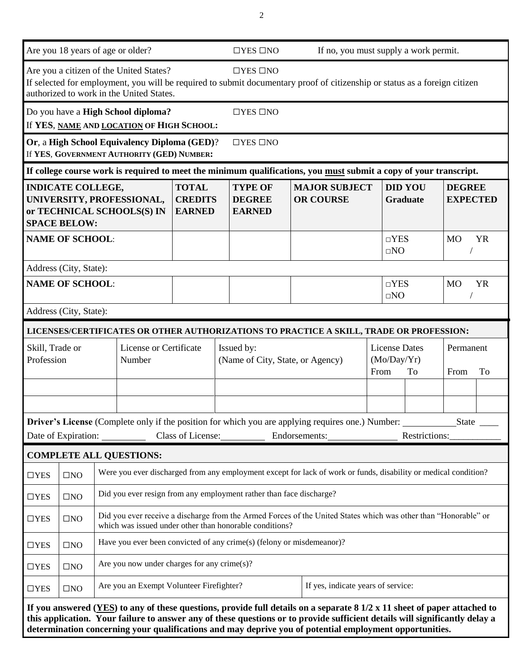| Are you 18 years of age or older?                                 |                                                                                                                                                                                            |                                                                                |                                                                                            | $\Box$ YES $\Box$ NO                            | If no, you must supply a work permit. |                                                   |                                                                                                                                                                                                                                                                                                                                                                                     |  |                                   |               |                                  |           |
|-------------------------------------------------------------------|--------------------------------------------------------------------------------------------------------------------------------------------------------------------------------------------|--------------------------------------------------------------------------------|--------------------------------------------------------------------------------------------|-------------------------------------------------|---------------------------------------|---------------------------------------------------|-------------------------------------------------------------------------------------------------------------------------------------------------------------------------------------------------------------------------------------------------------------------------------------------------------------------------------------------------------------------------------------|--|-----------------------------------|---------------|----------------------------------|-----------|
|                                                                   |                                                                                                                                                                                            |                                                                                | Are you a citizen of the United States?<br>authorized to work in the United States.        |                                                 |                                       | $\Box$ YES $\Box$ NO                              | If selected for employment, you will be required to submit documentary proof of citizenship or status as a foreign citizen                                                                                                                                                                                                                                                          |  |                                   |               |                                  |           |
|                                                                   |                                                                                                                                                                                            |                                                                                | Do you have a High School diploma?<br>If YES, NAME AND LOCATION OF HIGH SCHOOL:            |                                                 |                                       | $\Box$ YES $\Box$ NO                              |                                                                                                                                                                                                                                                                                                                                                                                     |  |                                   |               |                                  |           |
|                                                                   |                                                                                                                                                                                            |                                                                                | Or, a High School Equivalency Diploma (GED)?<br>If YES, GOVERNMENT AUTHORITY (GED) NUMBER: |                                                 |                                       | $\Box$ YES $\Box$ NO                              |                                                                                                                                                                                                                                                                                                                                                                                     |  |                                   |               |                                  |           |
|                                                                   |                                                                                                                                                                                            |                                                                                |                                                                                            |                                                 |                                       |                                                   | If college course work is required to meet the minimum qualifications, you must submit a copy of your transcript.                                                                                                                                                                                                                                                                   |  |                                   |               |                                  |           |
|                                                                   | <b>INDICATE COLLEGE,</b><br><b>SPACE BELOW:</b>                                                                                                                                            |                                                                                | UNIVERSITY, PROFESSIONAL,<br>or TECHNICAL SCHOOLS(S) IN                                    | <b>TOTAL</b><br><b>CREDITS</b><br><b>EARNED</b> |                                       | <b>TYPE OF</b><br><b>DEGREE</b><br><b>EARNED</b>  | <b>MAJOR SUBJECT</b><br><b>OR COURSE</b>                                                                                                                                                                                                                                                                                                                                            |  | <b>DID YOU</b><br><b>Graduate</b> |               | <b>DEGREE</b><br><b>EXPECTED</b> |           |
|                                                                   | <b>NAME OF SCHOOL:</b>                                                                                                                                                                     |                                                                                |                                                                                            |                                                 |                                       |                                                   |                                                                                                                                                                                                                                                                                                                                                                                     |  | $\neg$ YES<br>$\square NO$        |               | <b>MO</b>                        | <b>YR</b> |
|                                                                   | Address (City, State):                                                                                                                                                                     |                                                                                |                                                                                            |                                                 |                                       |                                                   |                                                                                                                                                                                                                                                                                                                                                                                     |  |                                   |               |                                  |           |
|                                                                   | <b>NAME OF SCHOOL:</b>                                                                                                                                                                     |                                                                                |                                                                                            |                                                 |                                       |                                                   |                                                                                                                                                                                                                                                                                                                                                                                     |  | $\neg$ YES<br>$\square$ NO        |               | <b>MO</b>                        | <b>YR</b> |
|                                                                   | Address (City, State):                                                                                                                                                                     |                                                                                |                                                                                            |                                                 |                                       |                                                   |                                                                                                                                                                                                                                                                                                                                                                                     |  |                                   |               |                                  |           |
|                                                                   |                                                                                                                                                                                            |                                                                                |                                                                                            |                                                 |                                       |                                                   | LICENSES/CERTIFICATES OR OTHER AUTHORIZATIONS TO PRACTICE A SKILL, TRADE OR PROFESSION:                                                                                                                                                                                                                                                                                             |  |                                   |               |                                  |           |
| License or Certificate<br>Skill, Trade or<br>Profession<br>Number |                                                                                                                                                                                            | Issued by:<br>(Name of City, State, or Agency)                                 |                                                                                            |                                                 |                                       | <b>License Dates</b><br>(Mo/Day/Yr)<br>From<br>To |                                                                                                                                                                                                                                                                                                                                                                                     |  | Permanent<br>To<br>From           |               |                                  |           |
|                                                                   |                                                                                                                                                                                            |                                                                                |                                                                                            |                                                 |                                       |                                                   |                                                                                                                                                                                                                                                                                                                                                                                     |  |                                   |               |                                  |           |
|                                                                   |                                                                                                                                                                                            |                                                                                |                                                                                            |                                                 |                                       |                                                   | Date of Expiration: Class of License: Endorsements: Class of License 2014                                                                                                                                                                                                                                                                                                           |  |                                   | Restrictions: |                                  |           |
|                                                                   |                                                                                                                                                                                            |                                                                                | <b>COMPLETE ALL QUESTIONS:</b>                                                             |                                                 |                                       |                                                   |                                                                                                                                                                                                                                                                                                                                                                                     |  |                                   |               |                                  |           |
| $\Box$ YES                                                        | $\Box\mathrm{NO}$                                                                                                                                                                          |                                                                                |                                                                                            |                                                 |                                       |                                                   | Were you ever discharged from any employment except for lack of work or funds, disability or medical condition?                                                                                                                                                                                                                                                                     |  |                                   |               |                                  |           |
| $\Box$ YES                                                        | Did you ever resign from any employment rather than face discharge?<br>$\square$ NO                                                                                                        |                                                                                |                                                                                            |                                                 |                                       |                                                   |                                                                                                                                                                                                                                                                                                                                                                                     |  |                                   |               |                                  |           |
| $\Box$ YES                                                        | Did you ever receive a discharge from the Armed Forces of the United States which was other than "Honorable" or<br>$\square$ NO<br>which was issued under other than honorable conditions? |                                                                                |                                                                                            |                                                 |                                       |                                                   |                                                                                                                                                                                                                                                                                                                                                                                     |  |                                   |               |                                  |           |
| $\Box$ YES                                                        | $\square$ NO                                                                                                                                                                               |                                                                                | Have you ever been convicted of any crime(s) (felony or misdemeanor)?                      |                                                 |                                       |                                                   |                                                                                                                                                                                                                                                                                                                                                                                     |  |                                   |               |                                  |           |
| $\Box$ YES                                                        | $\square$ NO                                                                                                                                                                               |                                                                                | Are you now under charges for any crime $(s)$ ?                                            |                                                 |                                       |                                                   |                                                                                                                                                                                                                                                                                                                                                                                     |  |                                   |               |                                  |           |
| $\Box$ YES                                                        | $\square$ NO                                                                                                                                                                               | If yes, indicate years of service:<br>Are you an Exempt Volunteer Firefighter? |                                                                                            |                                                 |                                       |                                                   |                                                                                                                                                                                                                                                                                                                                                                                     |  |                                   |               |                                  |           |
|                                                                   |                                                                                                                                                                                            |                                                                                |                                                                                            |                                                 |                                       |                                                   | If you answered $(YES)$ to any of these questions, provide full details on a separate $8\frac{1}{2} \times 11$ sheet of paper attached to<br>this application. Your failure to answer any of these questions or to provide sufficient details will significantly delay a<br>determination concerning your qualifications and may deprive you of potential employment opportunities. |  |                                   |               |                                  |           |

2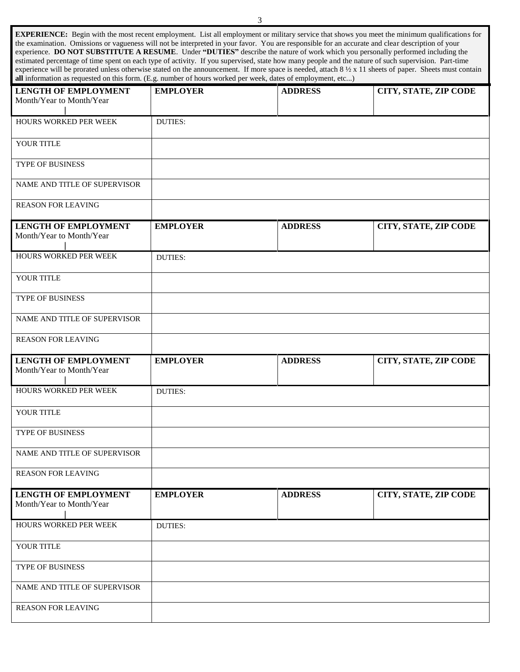| <b>EXPERIENCE:</b> Begin with the most recent employment. List all employment or military service that shows you meet the minimum qualifications for                   |
|------------------------------------------------------------------------------------------------------------------------------------------------------------------------|
| the examination. Omissions or vagueness will not be interpreted in your favor. You are responsible for an accurate and clear description of your                       |
| experience. DO NOT SUBSTITUTE A RESUME. Under "DUTIES" describe the nature of work which you personally performed including the                                        |
| estimated percentage of time spent on each type of activity. If you supervised, state how many people and the nature of such supervision. Part-time                    |
| experience will be prorated unless otherwise stated on the announcement. If more space is needed, attach $8\frac{1}{2} \times 11$ sheets of paper. Sheets must contain |
| all information as requested on this form. (E.g. number of hours worked per week, dates of employment, etc)                                                            |

| <b>LENGTH OF EMPLOYMENT</b><br>Month/Year to Month/Year | <b>EMPLOYER</b> | <b>ADDRESS</b> | CITY, STATE, ZIP CODE |
|---------------------------------------------------------|-----------------|----------------|-----------------------|
|                                                         |                 |                |                       |
| HOURS WORKED PER WEEK                                   | <b>DUTIES:</b>  |                |                       |
| YOUR TITLE                                              |                 |                |                       |
| TYPE OF BUSINESS                                        |                 |                |                       |
| NAME AND TITLE OF SUPERVISOR                            |                 |                |                       |
| <b>REASON FOR LEAVING</b>                               |                 |                |                       |
| <b>LENGTH OF EMPLOYMENT</b><br>Month/Year to Month/Year | <b>EMPLOYER</b> | <b>ADDRESS</b> | CITY, STATE, ZIP CODE |
| HOURS WORKED PER WEEK                                   | <b>DUTIES:</b>  |                |                       |
| YOUR TITLE                                              |                 |                |                       |
| TYPE OF BUSINESS                                        |                 |                |                       |
| NAME AND TITLE OF SUPERVISOR                            |                 |                |                       |
| <b>REASON FOR LEAVING</b>                               |                 |                |                       |
|                                                         | <b>EMPLOYER</b> | <b>ADDRESS</b> |                       |
| <b>LENGTH OF EMPLOYMENT</b><br>Month/Year to Month/Year |                 |                | CITY, STATE, ZIP CODE |
| HOURS WORKED PER WEEK                                   | <b>DUTIES:</b>  |                |                       |
| YOUR TITLE                                              |                 |                |                       |
| TYPE OF BUSINESS                                        |                 |                |                       |
| NAME AND TITLE OF SUPERVISOR                            |                 |                |                       |
| <b>REASON FOR LEAVING</b>                               |                 |                |                       |
| <b>LENGTH OF EMPLOYMENT</b><br>Month/Year to Month/Year | <b>EMPLOYER</b> | <b>ADDRESS</b> | CITY, STATE, ZIP CODE |
| HOURS WORKED PER WEEK                                   | <b>DUTIES:</b>  |                |                       |
| YOUR TITLE                                              |                 |                |                       |
| TYPE OF BUSINESS                                        |                 |                |                       |
| NAME AND TITLE OF SUPERVISOR                            |                 |                |                       |